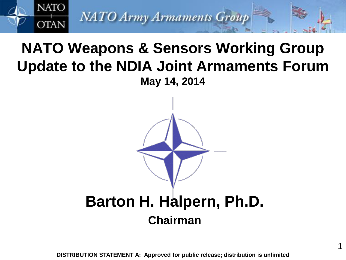

# **NATO Weapons & Sensors Working Group Update to the NDIA Joint Armaments Forum May 14, 2014**



**DISTRIBUTION STATEMENT A: Approved for public release; distribution is unlimited**

1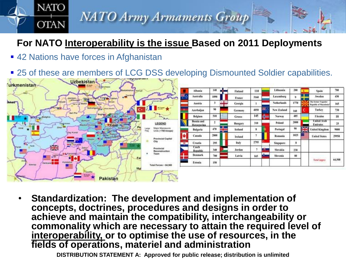### **For NATO Interoperability is the issue Based on 2011 Deployments**

**NATO Army Armaments Group** 

■ 42 Nations have forces in Afghanistan

**NATO** 

**OTAN** 

■ 25 of these are members of LCG DSS developing Dismounted Soldier capabilities.



• **Standardization: The development and implementation of concepts, doctrines, procedures and designs in order to achieve and maintain the compatibility, interchangeability or commonality which are necessary to attain the required level of interoperability, or to optimise the use of resources, in the fields of operations, materiel and administration**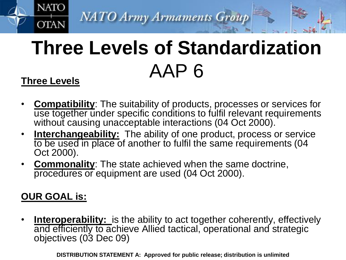# **Three Levels of Standardization** AAP 6 **Three Levels**

### • **Compatibility**: The suitability of products, processes or services for use together under specific conditions to fulfil relevant requirements without causing unacceptable interactions (04 Oct 2000).

- **Interchangeability:** The ability of one product, process or service to be used in place of another to fulfil the same requirements (04 Oct 2000).
- **Commonality**: The state achieved when the same doctrine, procedures or equipment are used (04 Oct 2000).

### **OUR GOAL is:**

**NATO** 

**OTAN** 

**<u>Interoperability:</u>** is the ability to act together coherently, effectively and efficiently to achieve Allied tactical, operational and strategic objectives (03 Dec 09)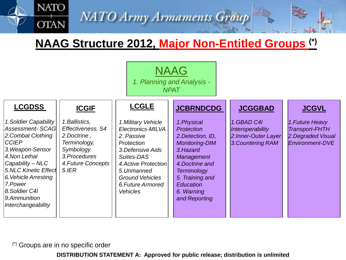### **NAAG Structure 2012, Major Non-Entitled Groups (\*)**



(\*) Groups are in no specific order

**NATO** 

**OTAN**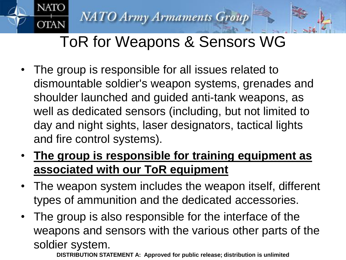**NATO** 

**OTAN** 

# ToR for Weapons & Sensors WG

- The group is responsible for all issues related to dismountable soldier's weapon systems, grenades and shoulder launched and guided anti-tank weapons, as well as dedicated sensors (including, but not limited to day and night sights, laser designators, tactical lights and fire control systems).
- **The group is responsible for training equipment as associated with our ToR equipment**
- The weapon system includes the weapon itself, different types of ammunition and the dedicated accessories.
- The group is also responsible for the interface of the weapons and sensors with the various other parts of the soldier system.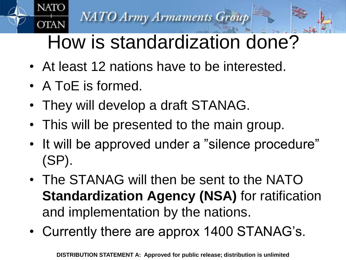# How is standardization done?

- At least 12 nations have to be interested.
- A ToE is formed.

**NATO** 

**OTAN** 

- They will develop a draft STANAG.
- This will be presented to the main group.
- It will be approved under a "silence procedure" (SP).
- The STANAG will then be sent to the NATO **Standardization Agency (NSA)** for ratification and implementation by the nations.
- Currently there are approx 1400 STANAG's.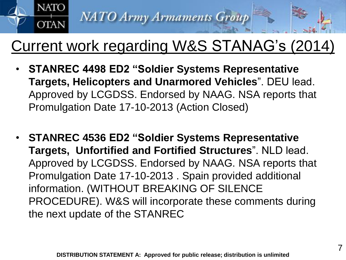

# Current work regarding W&S STANAG's (2014)

- **STANREC 4498 ED2 "Soldier Systems Representative Targets, Helicopters and Unarmored Vehicles**". DEU lead. Approved by LCGDSS. Endorsed by NAAG. NSA reports that Promulgation Date 17-10-2013 (Action Closed)
- **STANREC 4536 ED2 "Soldier Systems Representative Targets, Unfortified and Fortified Structures**". NLD lead. Approved by LCGDSS. Endorsed by NAAG. NSA reports that Promulgation Date 17-10-2013 . Spain provided additional information. (WITHOUT BREAKING OF SILENCE PROCEDURE). W&S will incorporate these comments during the next update of the STANREC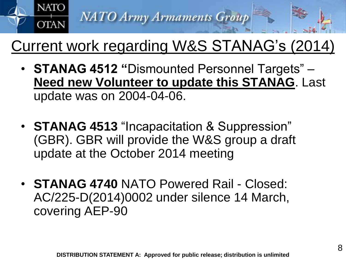

# Current work regarding W&S STANAG's (2014)

- **STANAG 4512 "**Dismounted Personnel Targets" **Need new Volunteer to update this STANAG**. Last update was on 2004-04-06.
- **STANAG 4513** "Incapacitation & Suppression" (GBR). GBR will provide the W&S group a draft update at the October 2014 meeting
- **STANAG 4740** NATO Powered Rail Closed: AC/225-D(2014)0002 under silence 14 March, covering AEP-90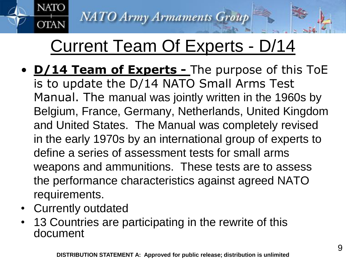# Current Team Of Experts - D/14

- **D/14 Team of Experts -** The purpose of this ToE is to update the D/14 NATO Small Arms Test Manual. The manual was jointly written in the 1960s by Belgium, France, Germany, Netherlands, United Kingdom and United States. The Manual was completely revised in the early 1970s by an international group of experts to define a series of assessment tests for small arms weapons and ammunitions. These tests are to assess the performance characteristics against agreed NATO requirements.
- Currently outdated

**NATO** 

**OTAN** 

• 13 Countries are participating in the rewrite of this document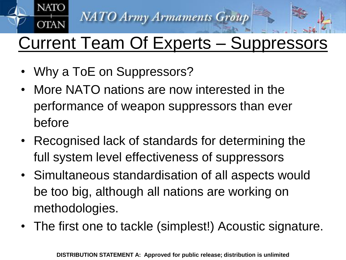

# Current Team Of Experts – Suppressors

• Why a ToE on Suppressors?

**NATO** 

**OTAN** 

- More NATO nations are now interested in the performance of weapon suppressors than ever before
- Recognised lack of standards for determining the full system level effectiveness of suppressors
- Simultaneous standardisation of all aspects would be too big, although all nations are working on methodologies.
- The first one to tackle (simplest!) Acoustic signature.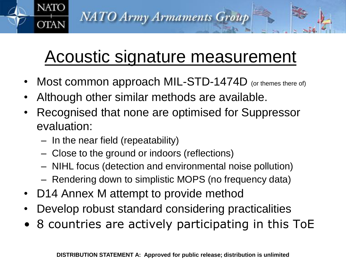# Acoustic signature measurement

Most common approach MIL-STD-1474D (or themes there of)

**NATO Army Armaments Group** 

- Although other similar methods are available.
- Recognised that none are optimised for Suppressor evaluation:
	- In the near field (repeatability)

**NATO** 

**OTAN** 

- Close to the ground or indoors (reflections)
- NIHL focus (detection and environmental noise pollution)
- Rendering down to simplistic MOPS (no frequency data)
- D14 Annex M attempt to provide method
- Develop robust standard considering practicalities
- 8 countries are actively participating in this ToE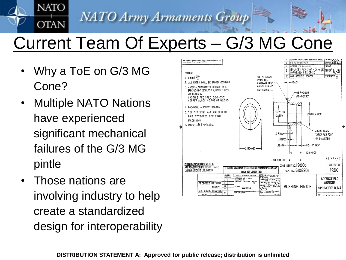# Current Team Of Experts – G/3 MG Cone

• Why a ToE on G/3 MG Cone?

**NATO** 

**OTAN** 

- Multiple NATO Nations have experienced significant mechanical failures of the G/3 MG pintle
- Those nations are involving industry to help create a standardized design for interoperability

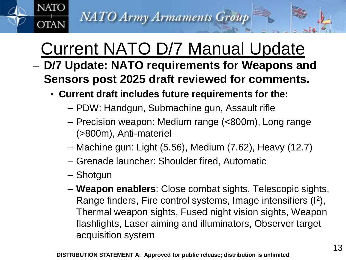# Current NATO D/7 Manual Update

- **D/7 Update: NATO requirements for Weapons and Sensors post 2025 draft reviewed for comments.** 
	- **Current draft includes future requirements for the:**
		- PDW: Handgun, Submachine gun, Assault rifle
		- Precision weapon: Medium range (<800m), Long range (>800m), Anti-materiel
		- Machine gun: Light (5.56), Medium (7.62), Heavy (12.7)
		- Grenade launcher: Shoulder fired, Automatic
		- Shotgun

**NATO** 

**OTAN** 

– **Weapon enablers**: Close combat sights, Telescopic sights, Range finders, Fire control systems, Image intensifiers (I<sup>2</sup>), Thermal weapon sights, Fused night vision sights, Weapon flashlights, Laser aiming and illuminators, Observer target acquisition system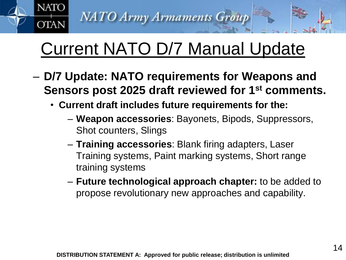**NATO** 

**OTAN** 

# Current NATO D/7 Manual Update

- **D/7 Update: NATO requirements for Weapons and Sensors post 2025 draft reviewed for 1st comments.** 
	- **Current draft includes future requirements for the:**
		- **Weapon accessories**: Bayonets, Bipods, Suppressors, Shot counters, Slings
		- **Training accessories**: Blank firing adapters, Laser Training systems, Paint marking systems, Short range training systems
		- **Future technological approach chapter:** to be added to propose revolutionary new approaches and capability.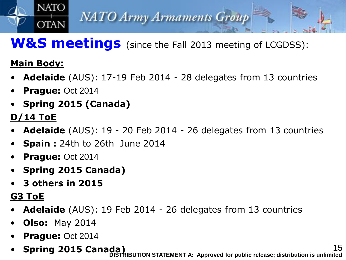

## **W&S meetings** (since the Fall 2013 meeting of LCGDSS):

### **Main Body:**

- **Adelaide** (AUS): 17-19 Feb 2014 28 delegates from 13 countries
- **Prague:** Oct 2014
- **Spring 2015 (Canada)**

### **D/14 ToE**

- **Adelaide** (AUS): 19 20 Feb 2014 26 delegates from 13 countries
- **Spain :** 24th to 26th June 2014
- **Prague:** Oct 2014
- **Spring 2015 Canada)**
- **3 others in 2015**

### **G3 ToE**

- **Adelaide** (AUS): 19 Feb 2014 26 delegates from 13 countries
- **Olso:** May 2014
- **Prague:** Oct 2014
- **Spring 2015 Canada)** 15 **DISTRIBUTION STATEMENT A: Approved for public release; distribution is unlimited**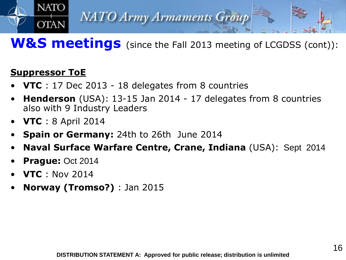

### **W&S meetings** (since the Fall 2013 meeting of LCGDSS (cont)):

### **Suppressor ToE**

**NATO** 

- **VTC** : 17 Dec 2013 18 delegates from 8 countries
- **Henderson** (USA): 13-15 Jan 2014 17 delegates from 8 countries also with 9 Industry Leaders
- **VTC** : 8 April 2014
- **Spain or Germany:** 24th to 26th June 2014
- **Naval Surface Warfare Centre, Crane, Indiana** (USA): Sept 2014
- **Prague:** Oct 2014
- **VTC** : Nov 2014
- **Norway (Tromso?)** : Jan 2015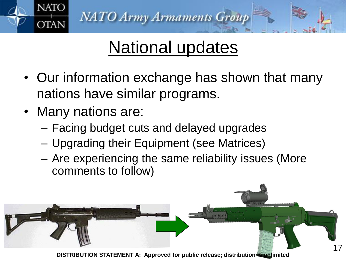

# National updates

- Our information exchange has shown that many nations have similar programs.
- Many nations are:
	- Facing budget cuts and delayed upgrades
	- Upgrading their Equipment (see Matrices)
	- Are experiencing the same reliability issues (More comments to follow)

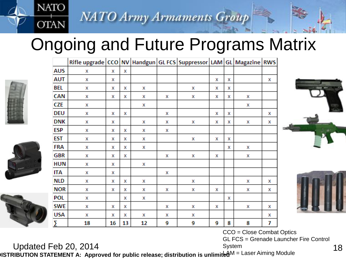# Ongoing and Future Programs Matrix





CCO = Close Combat Optics GL FCS = Grenade Launcher Fire Control System

**NATO** 

**OTAN** 

Updated Feb 20, 2014<br>
System System System The D. 2014<br>
RIBUTION STATEMENT A: Approved for public release: distribution is unlimited M = Laser Aiming Module **DISTRIBUTION STATEMENT A: Approved for public release; distribution is unlimited**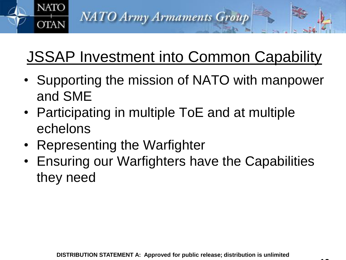# JSSAP Investment into Common Capability

**NATO Army Armaments Group** 

- Supporting the mission of NATO with manpower and SME
- Participating in multiple ToE and at multiple echelons
- Representing the Warfighter

**NATO** 

**OTAN** 

• Ensuring our Warfighters have the Capabilities they need